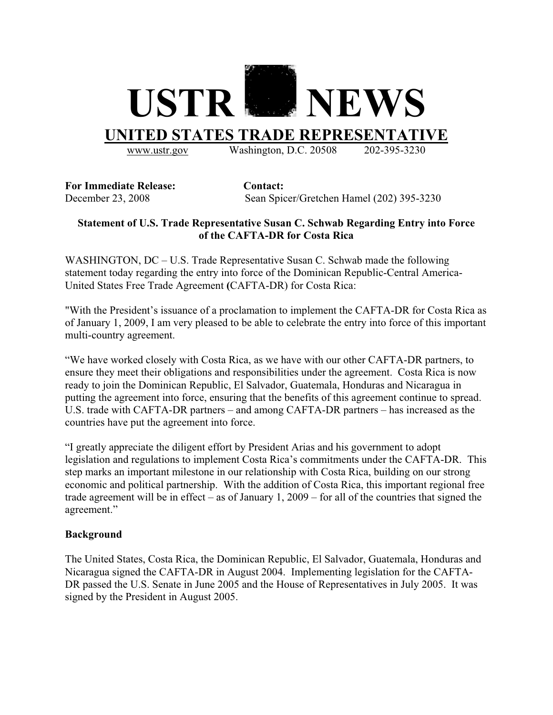

www.ustr.gov Washington, D.C. 20508 202-395-3230

**For Immediate Release: Contact:** 

December 23, 2008 Sean Spicer/Gretchen Hamel (202) 395-3230

## **Statement of U.S. Trade Representative Susan C. Schwab Regarding Entry into Force of the CAFTA-DR for Costa Rica**

WASHINGTON, DC – U.S. Trade Representative Susan C. Schwab made the following statement today regarding the entry into force of the Dominican Republic-Central America-United States Free Trade Agreement **(**CAFTA-DR) for Costa Rica:

"With the President's issuance of a proclamation to implement the CAFTA-DR for Costa Rica as of January 1, 2009, I am very pleased to be able to celebrate the entry into force of this important multi-country agreement.

"We have worked closely with Costa Rica, as we have with our other CAFTA-DR partners, to ensure they meet their obligations and responsibilities under the agreement. Costa Rica is now ready to join the Dominican Republic, El Salvador, Guatemala, Honduras and Nicaragua in putting the agreement into force, ensuring that the benefits of this agreement continue to spread. U.S. trade with CAFTA-DR partners – and among CAFTA-DR partners – has increased as the countries have put the agreement into force.

"I greatly appreciate the diligent effort by President Arias and his government to adopt legislation and regulations to implement Costa Rica's commitments under the CAFTA-DR. This step marks an important milestone in our relationship with Costa Rica, building on our strong economic and political partnership. With the addition of Costa Rica, this important regional free trade agreement will be in effect – as of January 1, 2009 – for all of the countries that signed the agreement."

## **Background**

The United States, Costa Rica, the Dominican Republic, El Salvador, Guatemala, Honduras and Nicaragua signed the CAFTA-DR in August 2004. Implementing legislation for the CAFTA-DR passed the U.S. Senate in June 2005 and the House of Representatives in July 2005. It was signed by the President in August 2005.